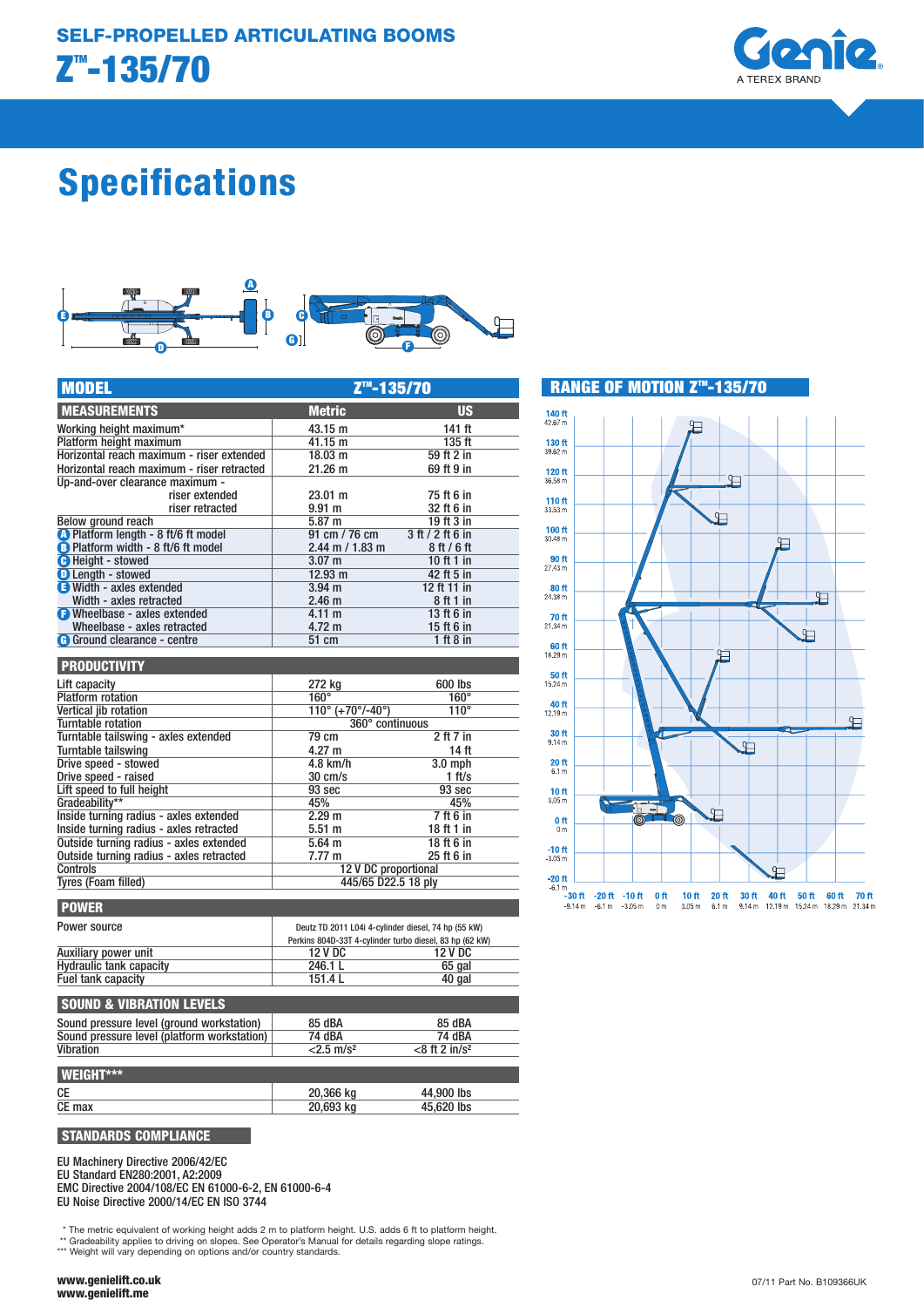

# Specifications



| <b>MODEL</b>                               | Z <sup>™</sup> -135/70                                  |                  |
|--------------------------------------------|---------------------------------------------------------|------------------|
| <b>MEASUREMENTS</b>                        | <b>Metric</b>                                           | <b>US</b>        |
| Working height maximum*                    | 43.15 m                                                 | $141$ ft         |
| Platform height maximum                    | 41.15 m                                                 | 135 ft           |
| Horizontal reach maximum - riser extended  | $18.03$ m                                               | 59 ft 2 in       |
| Horizontal reach maximum - riser retracted | 21.26 m                                                 | 69 ft 9 in       |
| Up-and-over clearance maximum -            |                                                         |                  |
| riser extended                             | $23.01 \text{ m}$                                       | 75 ft 6 in       |
| riser retracted                            | 9.91 <sub>m</sub>                                       | 32 ft 6 in       |
| Below ground reach                         | 5.87 m                                                  | 19 ft 3 in       |
| 1 Platform length - 8 ft/6 ft model        | 91 cm / 76 cm                                           | 3 ft / 2 ft 6 in |
| B Platform width - 8 ft/6 ft model         | $2.44$ m $/ 1.83$ m                                     | 8ft/6ft          |
| <b>O</b> Height - stowed                   | 3.07 <sub>m</sub>                                       | 10 ft 1 in       |
| <b>D</b> Length - stowed                   | 12.93 m                                                 | 42 ft 5 in       |
| <b>B</b> Width - axles extended            | $3.94$ m                                                | 12 ft 11 in      |
| Width - axles retracted                    | 2.46 <sub>m</sub>                                       | 8 ft 1 in        |
| <b>B</b> Wheelbase - axles extended        | 4.11 m                                                  | 13 ft 6 in       |
| Wheelbase - axles retracted                | 4.72 m                                                  | 15 ft 6 in       |
| <b>G</b> Ground clearance - centre         | 51 cm                                                   | 1ft8in           |
|                                            |                                                         |                  |
| <b>PRODUCTIVITY</b>                        |                                                         |                  |
| Lift capacity                              | 272 kg                                                  | 600 lbs          |
| <b>Platform</b> rotation                   | $160^\circ$                                             | $160^\circ$      |
| Vertical iib rotation                      | $110^{\circ}$ (+70 $^{\circ}$ /-40 $^{\circ}$ )         | $110^\circ$      |
| <b>Turntable rotation</b>                  | 360° continuous                                         |                  |
| Turntable tailswing - axles extended       | 79 cm                                                   | 2 ft 7 in        |
| Turntable tailswing                        | 4.27 m                                                  | 14 <sub>ft</sub> |
| Drive speed - stowed                       | $4.8$ km/h                                              | $3.0$ mph        |
| Drive speed - raised                       | $30 \text{ cm/s}$                                       | 1 ft/s           |
| Lift speed to full height                  | 93 sec                                                  | 93 sec           |
| Gradeability**                             | 45%                                                     | 45%              |
| Inside turning radius - axles extended     | 2.29 <sub>m</sub>                                       | 7ft6in           |
| Inside turning radius - axles retracted    | 5.51 <sub>m</sub>                                       | 18 ft 1 in       |
| Outside turning radius - axles extended    | $5.64$ m                                                | 18 ft 6 in       |
| Outside turning radius - axles retracted   | 7.77 m                                                  | 25 ft 6 in       |
| Controls                                   | 12 V DC proportional                                    |                  |
| <b>Tyres (Foam filled)</b>                 | 445/65 D22.5 18 ply                                     |                  |
|                                            |                                                         |                  |
| <b>POWER</b>                               |                                                         |                  |
| Power source                               | Deutz TD 2011 L04i 4-cylinder diesel, 74 hp (55 kW)     |                  |
|                                            | Perkins 804D-33T 4-cylinder turbo diesel, 83 hp (62 kW) |                  |

|                                     | Perkins 804D-33T 4-cylinder turbo diesel, 83 hp (62 kW) |         |
|-------------------------------------|---------------------------------------------------------|---------|
| Auxiliary power unit                | <b>12 V DC</b>                                          | 12 V DC |
| <b>Hydraulic tank capacity</b>      | 246.1 L                                                 | 65 gal  |
| Fuel tank capacity                  | 151.4L                                                  | 40 gal  |
| <b>SOUND &amp; VIBRATION LEVELS</b> |                                                         |         |
| .                                   | $C = 10A$                                               | $ -$    |

| Sound pressure level (ground workstation)   | 85 dBA                   | 85 dBA                       |  |
|---------------------------------------------|--------------------------|------------------------------|--|
| Sound pressure level (platform workstation) | 74 dBA                   | 74 dBA                       |  |
| Vibration                                   | $< 2.5$ m/s <sup>2</sup> | $<$ 8 ft 2 in/s <sup>2</sup> |  |
|                                             |                          |                              |  |
| <b>I WEIGHT***</b>                          |                          |                              |  |
| СE                                          | 20,366 kg                | 44,900 lbs                   |  |
| CE max                                      | 20.693 kg                | 45,620 lbs                   |  |

STANDARDS COMPLIANCE

EU Machinery Directive 2006/42/EC

EU Standard EN280:2001, A2:2009

EMC Directive 2004/108/EC EN 61000-6-2, EN 61000-6-4 EU Noise Directive 2000/14/EC EN ISO 3744

\* The metric equivalent of working height adds 2 m to platform height. U.S. adds 6 ft to platform height. \*\* Gradeability applies to driving on slopes. See Operator's Manual for details regarding slope ratings.

\*\*\* Weight will vary depending on options and/or country standards.